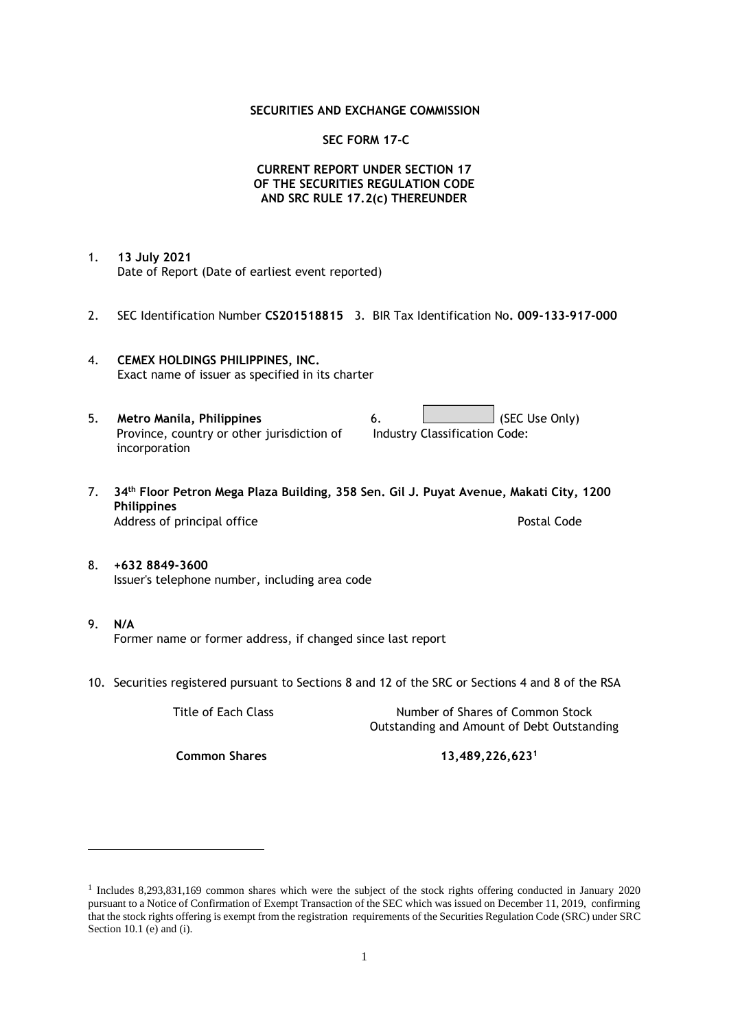### **SECURITIES AND EXCHANGE COMMISSION**

### **SEC FORM 17-C**

### **CURRENT REPORT UNDER SECTION 17 OF THE SECURITIES REGULATION CODE AND SRC RULE 17.2(c) THEREUNDER**

- 1. **13 July 2021** Date of Report (Date of earliest event reported)
- 2. SEC Identification Number **CS201518815** 3. BIR Tax Identification No**. 009-133-917-000**
- 4. **CEMEX HOLDINGS PHILIPPINES, INC.** Exact name of issuer as specified in its charter
- 5. **Metro Manila, Philippines** 6. **Consumers 6.** (SEC Use Only) Province, country or other jurisdiction of incorporation Industry Classification Code:
- 7. **34th Floor Petron Mega Plaza Building, 358 Sen. Gil J. Puyat Avenue, Makati City, 1200 Philippines** Address of principal office **Postal Code** Postal Code
- 8. **+632 8849-3600** Issuer's telephone number, including area code
- 9. **N/A** Former name or former address, if changed since last report
- 10. Securities registered pursuant to Sections 8 and 12 of the SRC or Sections 4 and 8 of the RSA

Title of Each Class Number of Shares of Common Stock Outstanding and Amount of Debt Outstanding

**Common Shares 13,489,226,623<sup>1</sup>**

<sup>1</sup> Includes 8,293,831,169 common shares which were the subject of the stock rights offering conducted in January 2020 pursuant to a Notice of Confirmation of Exempt Transaction of the SEC which was issued on December 11, 2019, confirming that the stock rights offering is exempt from the registration requirements of the Securities Regulation Code (SRC) under SRC Section 10.1 (e) and (i).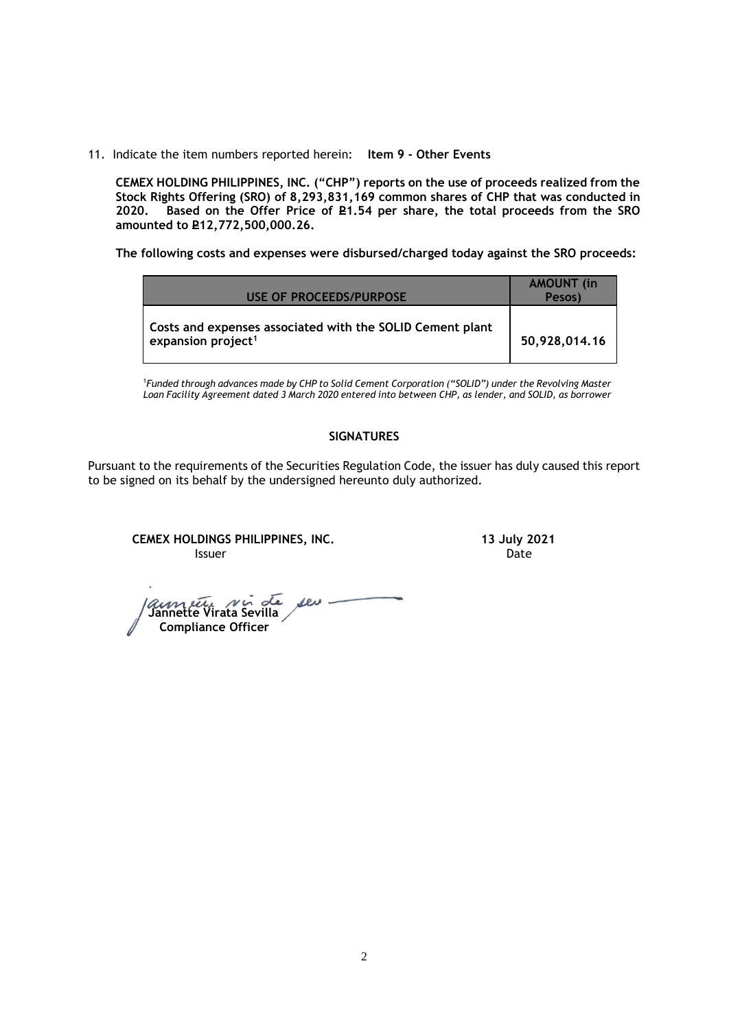11. Indicate the item numbers reported herein: **Item 9 - Other Events**

**CEMEX HOLDING PHILIPPINES, INC. ("CHP") reports on the use of proceeds realized from the Stock Rights Offering (SRO) of 8,293,831,169 common shares of CHP that was conducted in**  Based on the Offer Price of £1.54 per share, the total proceeds from the SRO **amounted to P12,772,500,000.26.** 

**The following costs and expenses were disbursed/charged today against the SRO proceeds:**

| USE OF PROCEEDS/PURPOSE                                                                     | <b>AMOUNT</b> (in<br>Pesos) |
|---------------------------------------------------------------------------------------------|-----------------------------|
| Costs and expenses associated with the SOLID Cement plant<br>expansion project <sup>1</sup> | 50,928,014.16               |

<sup>1</sup>*Funded through advances made by CHP to Solid Cement Corporation ("SOLID") under the Revolving Master Loan Facility Agreement dated 3 March 2020 entered into between CHP, as lender, and SOLID, as borrower*

# **SIGNATURES**

Pursuant to the requirements of the Securities Regulation Code, the issuer has duly caused this report to be signed on its behalf by the undersigned hereunto duly authorized.

**CEMEX HOLDINGS PHILIPPINES, INC. 13 July 2021 Issuer Date of the Community of the Community Community Community Community Community Community Community Community** 

 **Jannette Virata Sevilla Compliance Officer**